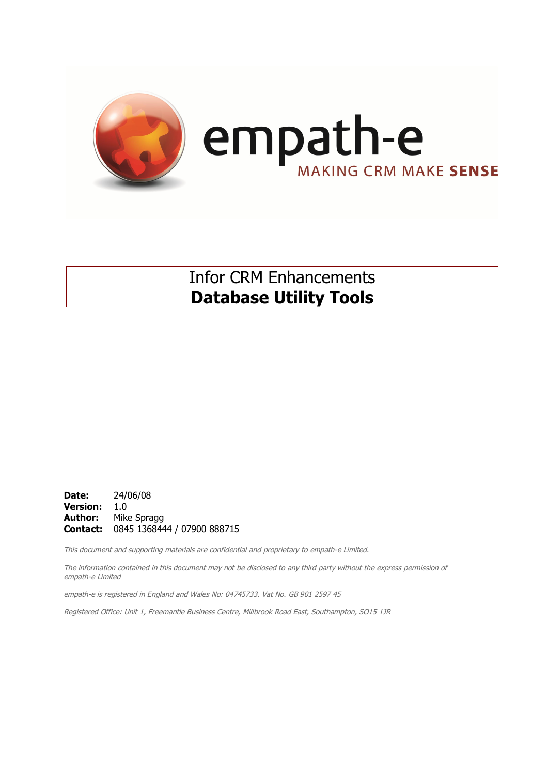

# Infor CRM Enhancements **Database Utility Tools**

**Date:** 24/06/08 **Version:** 1.0 **Author:** Mike Spragg **Contact:** 0845 1368444 / 07900 888715

This document and supporting materials are confidential and proprietary to empath-e Limited.

The information contained in this document may not be disclosed to any third party without the express permission of empath-e Limited

empath-e is registered in England and Wales No: 04745733. Vat No. GB 901 2597 45

Registered Office: Unit 1, Freemantle Business Centre, Millbrook Road East, Southampton, SO15 1JR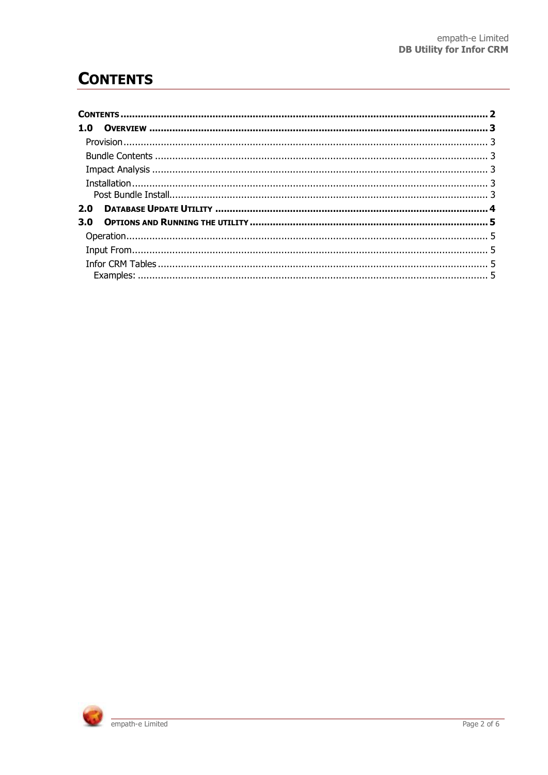# **CONTENTS**

| 1.0 |  |
|-----|--|
|     |  |
|     |  |
|     |  |
|     |  |
|     |  |
| 2.0 |  |
| 3.0 |  |
|     |  |
|     |  |
|     |  |

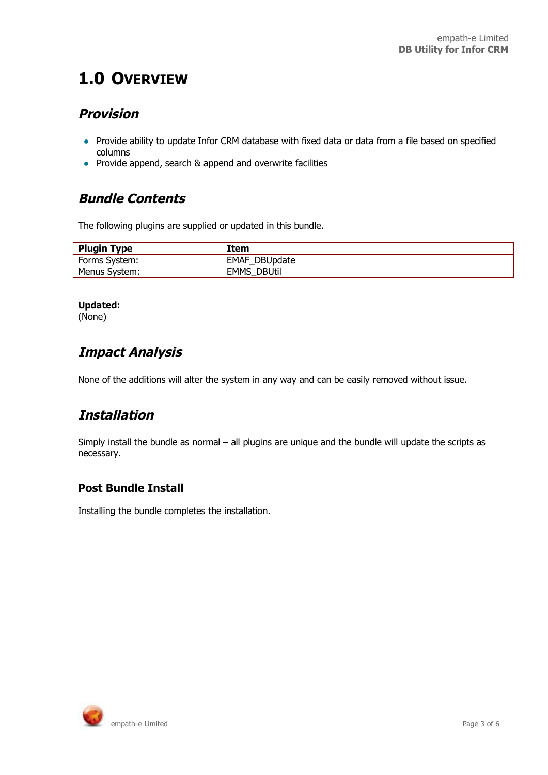# **1.0 OVERVIEW**

## **Provision**

- Provide ability to update Infor CRM database with fixed data or data from a file based on specified columns
- Provide append, search & append and overwrite facilities

## **Bundle Contents**

The following plugins are supplied or updated in this bundle.

| <b>Plugin Type</b> | Item                         |
|--------------------|------------------------------|
| Forms System:      | <b>EMAF DBUpdate</b>         |
| Menus System:      | <b>DBUtil</b><br><b>EMMS</b> |

#### **Updated:**

(None)

## **Impact Analysis**

None of the additions will alter the system in any way and can be easily removed without issue.

## **Installation**

Simply install the bundle as normal – all plugins are unique and the bundle will update the scripts as necessary.

### **Post Bundle Install**

Installing the bundle completes the installation.

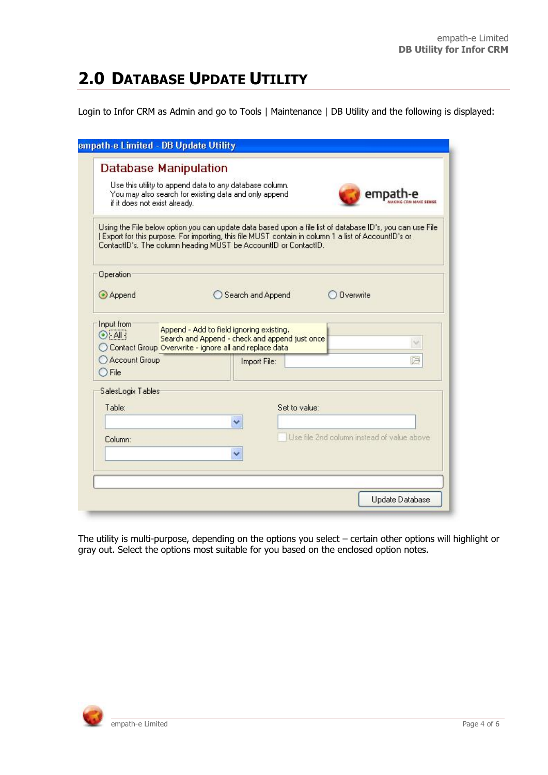# **2.0 DATABASE UPDATE UTILITY**

Login to Infor CRM as Admin and go to Tools | Maintenance | DB Utility and the following is displayed:

| <b>Database Manipulation</b><br>if it does not exist already.                                                            | Use this utility to append data to any database column.<br>You may also search for existing data and only append |                   | empa                                                                                                                                                                                                              |
|--------------------------------------------------------------------------------------------------------------------------|------------------------------------------------------------------------------------------------------------------|-------------------|-------------------------------------------------------------------------------------------------------------------------------------------------------------------------------------------------------------------|
| ContactID's. The column heading MUST be AccountID or ContactID.                                                          |                                                                                                                  |                   | Using the File below option you can update data based upon a file list of database ID's, you can use File<br>[Export for this purpose, For importing, this file MUST contain in column 1 a list of AccountID's or |
| Operation                                                                                                                |                                                                                                                  |                   |                                                                                                                                                                                                                   |
| Append                                                                                                                   |                                                                                                                  | Search and Append | <b>Overwrite</b>                                                                                                                                                                                                  |
| $\odot$ All $\frac{1}{2}$<br>O Contact Group Overwrite - ignore all and replace data<br>Account Group<br>$\bigcirc$ File | Append - Add to field ignoring existing.<br>Search and Append - check and append just once                       | Import File:      | □                                                                                                                                                                                                                 |
| SalesLogix Tables                                                                                                        |                                                                                                                  |                   |                                                                                                                                                                                                                   |
| Table:                                                                                                                   |                                                                                                                  | Set to value:     |                                                                                                                                                                                                                   |
| Column:                                                                                                                  |                                                                                                                  |                   | Use file 2nd column instead of value above                                                                                                                                                                        |
|                                                                                                                          |                                                                                                                  |                   |                                                                                                                                                                                                                   |

The utility is multi-purpose, depending on the options you select – certain other options will highlight or gray out. Select the options most suitable for you based on the enclosed option notes.

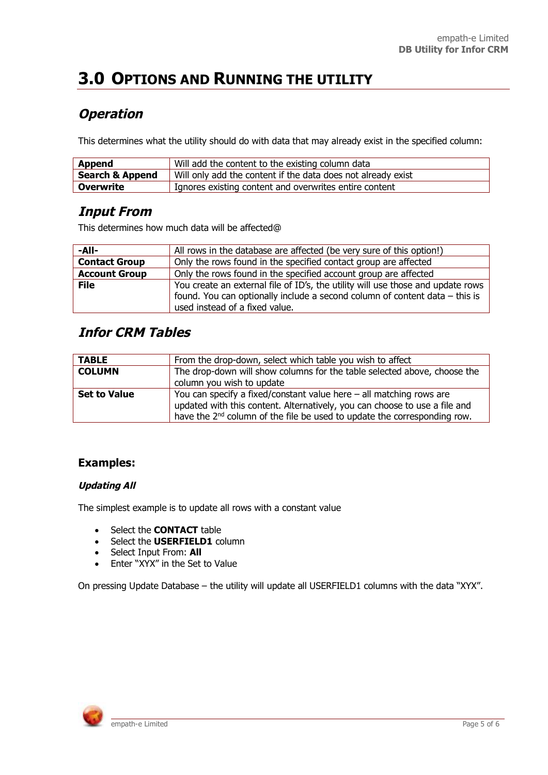# **3.0 OPTIONS AND RUNNING THE UTILITY**

## **Operation**

This determines what the utility should do with data that may already exist in the specified column:

| Append                     | Will add the content to the existing column data             |
|----------------------------|--------------------------------------------------------------|
| <b>Search &amp; Append</b> | Will only add the content if the data does not already exist |
| ' Overwrite                | I Ignores existing content and overwrites entire content     |

### **Input From**

This determines how much data will be affected@

| -All-                | All rows in the database are affected (be very sure of this option!)            |
|----------------------|---------------------------------------------------------------------------------|
| <b>Contact Group</b> | Only the rows found in the specified contact group are affected                 |
| <b>Account Group</b> | Only the rows found in the specified account group are affected                 |
| <b>File</b>          | You create an external file of ID's, the utility will use those and update rows |
|                      | found. You can optionally include a second column of content data $-$ this is   |
|                      | used instead of a fixed value.                                                  |

### **Infor CRM Tables**

| <b>TABLE</b>        | From the drop-down, select which table you wish to affect                                                                                                                                                                                   |
|---------------------|---------------------------------------------------------------------------------------------------------------------------------------------------------------------------------------------------------------------------------------------|
| <b>COLUMN</b>       | The drop-down will show columns for the table selected above, choose the                                                                                                                                                                    |
|                     | column you wish to update                                                                                                                                                                                                                   |
| <b>Set to Value</b> | You can specify a fixed/constant value here $-$ all matching rows are<br>updated with this content. Alternatively, you can choose to use a file and<br>have the 2 <sup>nd</sup> column of the file be used to update the corresponding row. |

### **Examples:**

#### **Updating All**

The simplest example is to update all rows with a constant value

- **•** Select the **CONTACT** table
- **•** Select the **USERFIELD1** column
- **•** Select Input From: All
- Enter "XYX" in the Set to Value

On pressing Update Database – the utility will update all USERFIELD1 columns with the data "XYX".